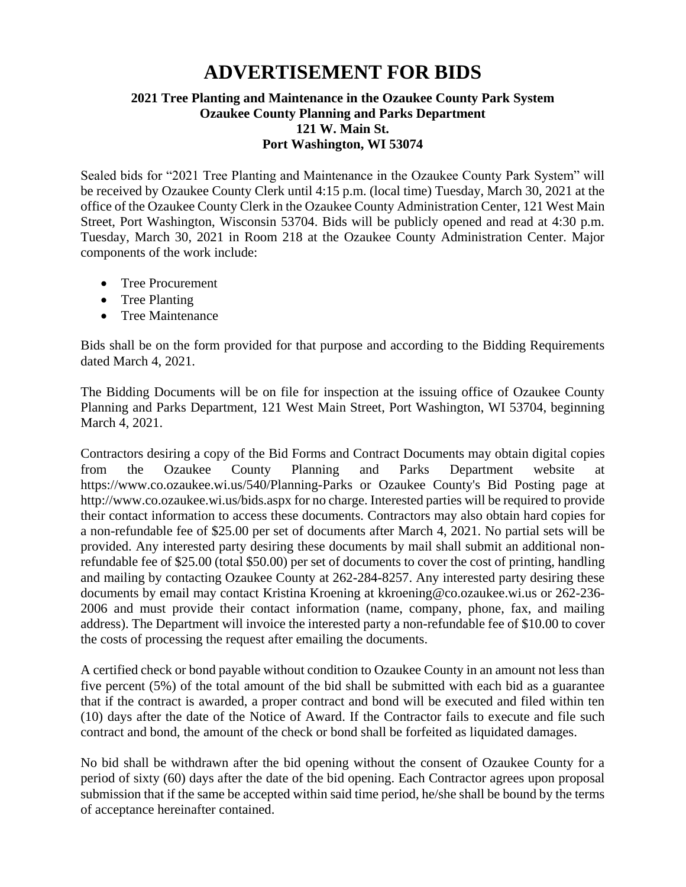## **ADVERTISEMENT FOR BIDS**

## **2021 Tree Planting and Maintenance in the Ozaukee County Park System Ozaukee County Planning and Parks Department 121 W. Main St. Port Washington, WI 53074**

Sealed bids for "2021 Tree Planting and Maintenance in the Ozaukee County Park System" will be received by Ozaukee County Clerk until 4:15 p.m. (local time) Tuesday, March 30, 2021 at the office of the Ozaukee County Clerk in the Ozaukee County Administration Center, 121 West Main Street, Port Washington, Wisconsin 53704. Bids will be publicly opened and read at 4:30 p.m. Tuesday, March 30, 2021 in Room 218 at the Ozaukee County Administration Center. Major components of the work include:

- Tree Procurement
- Tree Planting
- Tree Maintenance

Bids shall be on the form provided for that purpose and according to the Bidding Requirements dated March 4, 2021.

The Bidding Documents will be on file for inspection at the issuing office of Ozaukee County Planning and Parks Department, 121 West Main Street, Port Washington, WI 53704, beginning March 4, 2021.

Contractors desiring a copy of the Bid Forms and Contract Documents may obtain digital copies from the Ozaukee County Planning and Parks Department website at <https://www.co.ozaukee.wi.us/540/Planning-Parks> or Ozaukee County's Bid Posting page at <http://www.co.ozaukee.wi.us/bids.aspx> for no charge. Interested parties will be required to provide their contact information to access these documents. Contractors may also obtain hard copies for a non-refundable fee of \$25.00 per set of documents after March 4, 2021. No partial sets will be provided. Any interested party desiring these documents by mail shall submit an additional nonrefundable fee of \$25.00 (total \$50.00) per set of documents to cover the cost of printing, handling and mailing by contacting Ozaukee County at 262-284-8257. Any interested party desiring these documents by email may contact Kristina Kroening at kkroening@co.ozaukee.wi.us or 262-236- 2006 and must provide their contact information (name, company, phone, fax, and mailing address). The Department will invoice the interested party a non-refundable fee of \$10.00 to cover the costs of processing the request after emailing the documents.

A certified check or bond payable without condition to Ozaukee County in an amount not less than five percent (5%) of the total amount of the bid shall be submitted with each bid as a guarantee that if the contract is awarded, a proper contract and bond will be executed and filed within ten (10) days after the date of the Notice of Award. If the Contractor fails to execute and file such contract and bond, the amount of the check or bond shall be forfeited as liquidated damages.

No bid shall be withdrawn after the bid opening without the consent of Ozaukee County for a period of sixty (60) days after the date of the bid opening. Each Contractor agrees upon proposal submission that if the same be accepted within said time period, he/she shall be bound by the terms of acceptance hereinafter contained.